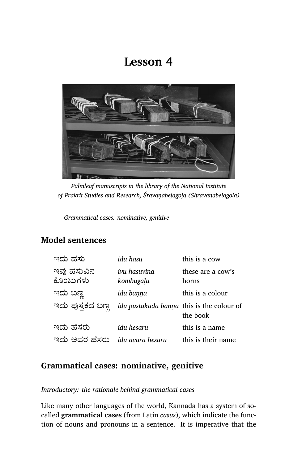# **Lesson 4**



*Palmleaf manuscripts in the library of the National Institute of Prakrit Studies and Research, Śravaṇabeḷagoḷa (Shravanabelagola)*

*Grammatical cases: nominative, genitive*

## **Model sentences**

| idu hasu                  | this is a cow                                         |
|---------------------------|-------------------------------------------------------|
| ivu hasuvina<br>kombugaļu | these are a cow's<br>horns                            |
| idu banna                 | this is a colour                                      |
|                           | idu pustakada banna this is the colour of<br>the book |
| idu hesaru                | this is a name                                        |
| idu avara hesaru          | this is their name                                    |
|                           |                                                       |

## **Grammatical cases: nominative, genitive**

### *Introductory: the rationale behind grammatical cases*

Like many other languages of the world, Kannada has a system of socalled **grammatical cases** (from Latin *casus*), which indicate the function of nouns and pronouns in a sentence. It is imperative that the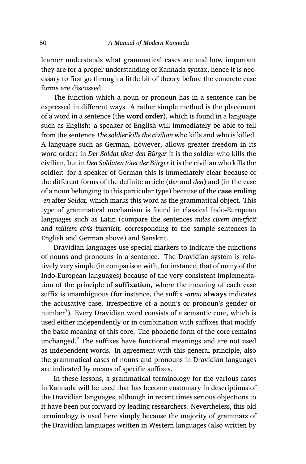learner understands what grammatical cases are and how important they are for a proper understanding of Kannada syntax, hence it is necessary to first go through a little bit of theory before the concrete case forms are discussed.

The function which a noun or pronoun has in a sentence can be expressed in different ways. A rather simple method is the placement of a word in a sentence (the **word order**), which is found in a language such as English: a speaker of English will immediately be able to tell from the sentence *The soldier kills the civilian* who kills and who is killed. A language such as German, however, allows greater freedom in its word order: in *Der Soldat tötet den Bürger* it is the soldier who kills the civilian, but in *Den Soldaten tötet der Bürger* it is the civilian who kills the soldier: for a speaker of German this is immediately clear because of the different forms of the definite article (*der* and *den*) and (in the case of a noun belonging to this particular type) because of the **case ending** -*en* after *Soldat,* which marks this word as the grammatical object. This type of grammatical mechanism is found in classical Indo-European languages such as Latin (compare the sentences *miles civem interficit* and *militem civis interficit,* corresponding to the sample sentences in English and German above) and Sanskrit.

Dravidian languages use special markers to indicate the functions of nouns and pronouns in a sentence. The Dravidian system is relatively very simple (in comparison with, for instance, that of many of the Indo-European languages) because of the very consistent implementation of the principle of **suffixation,** where the meaning of each case suffix is unambiguous (for instance, the suffix ‑*annu* **always** indicates the accusative case, irrespective of a noun's or pronoun's gender or  $\mathop{\mathrm{number}^1}\nolimits$ ). Every Dravidian word consists of a semantic core, which is used either independently or in combination with suffixes that modify the basic meaning of this core. The phonetic form of the core remains unchanged.<sup>2</sup> The suffixes have functional meanings and are not used as independent words. In agreement with this general principle, also the gram matical cases of nouns and pronouns in Dravidian languages are indicated by means of specific suffixes.

In these lessons, a grammatical terminology for the various cases in Kannada will be used that has become customary in descriptions of the Dravidian languages, although in recent times serious objections to it have been put forward by leading researchers. Nevertheless, this old terminology is used here simply because the majority of grammars of the Dravidian languages written in Western languages (also written by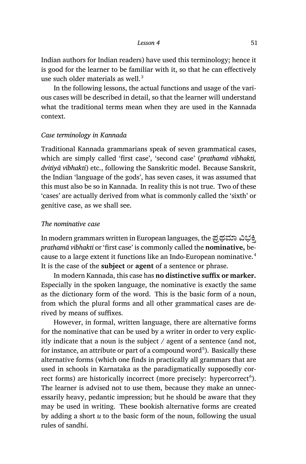Indian authors for Indian readers) have used this terminology; hence it is good for the learner to be familiar with it, so that he can effectively use such older materials as well. $3$ 

In the following lessons, the actual functions and usage of the various cases will be described in detail, so that the learner will understand what the traditional terms mean when they are used in the Kannada context.

#### *Case terminology in Kannada*

Traditional Kannada grammarians speak of seven grammatical cases, which are simply called 'first case', 'second case' (*prathamā vibhakti, dvitīyā vibhakti*) etc., following the Sanskritic model. Because Sanskrit, the Indian 'language of the gods', has seven cases, it was assumed that this must also be so in Kannada. In reality this is not true. Two of these 'cases' are actually derived from what is commonly called the 'sixth' or genitive case, as we shall see.

#### *The nominative case*

In modern grammars written in European languages, the ಪ್ರಥಮಾ ವಿಭಕ್ತಿ *prathamā vibhakti* or 'first case' is commonly called the **nominative,** because to a large extent it functions like an Indo-European nominative.<sup>4</sup> It is the case of the **subject** or **agent** of a sentence or phrase.

In modern Kannada, this case has **no distinctive suffix or marker.** Especially in the spoken language, the nominative is exactly the same as the dictionary form of the word. This is the basic form of a noun, from which the plural forms and all other grammatical cases are derived by means of suffixes.

However, in formal, written language, there are alternative forms for the nominative that can be used by a writer in order to very explicitly indicate that a noun is the subject / agent of a sentence (and not, for instance, an attribute or part of a compound word<sup>5</sup>). Basically these alternative forms (which one finds in practically all grammars that are used in schools in Karnataka as the paradigmatically supposedly correct forms) are historically incorrect (more precisely: hypercorrect $^6$ ). The learner is advised not to use them, because they make an unnecessarily heavy, pedantic impression; but he should be aware that they may be used in writing. These bookish alternative forms are created by adding a short *u* to the basic form of the noun, following the usual rules of sandhi.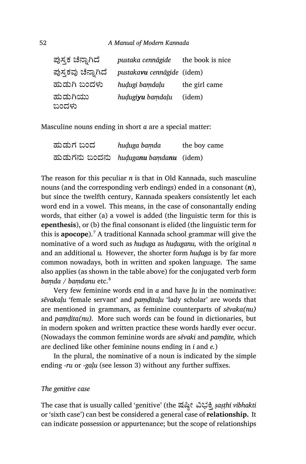#### 52 *A Manual of Modern Kannada*

| ಪುಸ್ತಕ ಚೆನ್ನಾಗಿದೆ   | pustaka cennāgide          | the book is nice |
|---------------------|----------------------------|------------------|
| ಪುಸ್ತಕವು ಚೆನ್ನಾಗಿದೆ | pustakavu cennāgide (idem) |                  |
| ಹುಡುಗಿ ಬಂದಳು        | hudugi bamdalu             | the girl came    |
| ಹುಡುಗಿಯು<br>ಬಂದಳು   | hudugiyu bamdalu           | (idem)           |

Masculine nouns ending in short *a* are a special matter:

| ಹುಡುಗ ಬಂದ | huduga bamda                            | the boy came |
|-----------|-----------------------------------------|--------------|
|           | ಹುಡುಗನು ಬಂದನು  huduganu bamdanu  (idem) |              |

The reason for this peculiar *n* is that in Old Kannada, such masculine nouns (and the corresponding verb endings) ended in a consonant (*n*), but since the twelfth century, Kannada speakers consistently let each word end in a vowel. This means, in the case of consonantally ending words, that either (a) a vowel is added (the linguistic term for this is **epenthesis**), or (b) the final consonant is elided (the linguistic term for this is **apocope**).<sup>7</sup> A traditional Kannada school grammar will give the nominative of a word such as *huḍuga* as *huḍuganu,* with the original *n* and an additional *u.* However, the shorter form *huḍuga* is by far more common nowadays, both in written and spoken language. The same also applies (as shown in the table above) for the conjugated verb form *bamda / bamdanu* etc.<sup>8</sup>

Very few feminine words end in *a* and have *ḷu* in the nominative: *sēvakaḷu* 'female servant' and *paṃḍitaḷu* 'lady scholar' are words that are mentioned in grammars, as feminine counterparts of *sēvaka(nu)* and *paṃḍita(nu).* More such words can be found in dictionaries, but in modern spoken and written practice these words hardly ever occur. (Nowadays the common feminine words are *sēvaki* and *paṃḍite,* which are declined like other feminine nouns ending in *i* and *e.*)

In the plural, the nominative of a noun is indicated by the simple ending ‑*ru* or ‑*gaḷu* (see lesson 3) without any further suffixes.

#### *The genitive case*

The case that is usually called 'genitive' (the ಷĭ¯ೕ īಭĄ³ *ṣaṣṭhī vibhakti* or 'sixth case') can best be considered a general case of **relationship.** It can indicate possession or appurtenance; but the scope of relationships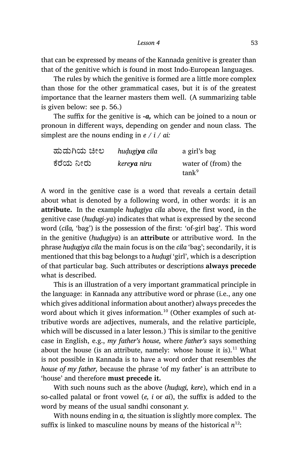that can be expressed by means of the Kannada genitive is greater than that of the genitive which is found in most Indo-European languages.

The rules by which the genitive is formed are a little more complex than those for the other grammatical cases, but it is of the greatest importance that the learner masters them well. (A summarizing table is given below: see p. 56.)

The suffix for the genitive is *-a,* which can be joined to a noun or pronoun in different ways, depending on gender and noun class. The simplest are the nouns ending in *e / i / ai:*

| ಹುಡುಗಿಯ ಚೀಲ | hudugiya cila       | a girl's bag                             |
|-------------|---------------------|------------------------------------------|
| ಕೆರೆಯ ನೀರು  | kere <b>ya</b> nīru | water of (from) the<br>tanh <sup>9</sup> |

A word in the genitive case is a word that reveals a certain detail about what is denoted by a following word, in other words: it is an **attribute.** In the example *huḍugiya cīla* above, the first word, in the genitive case (*huḍugi‑ya*) indicates that what is expressed by the second word (*cila*, 'bag') is the possession of the first: 'of-girl bag'. This word in the genitive (*huḍugiya*) is an **attribute** or attributive word. In the phrase *huḍugiya cīla* the main focus is on the *cīla* 'bag'; secondarily, it is mentioned that this bag belongs to a *huḍugi* 'girl', which is a description of that particular bag. Such attributes or descriptions **always precede** what is described.

This is an illustration of a very important grammatical principle in the language: in Kannada any attributive word or phrase (i.e., any one which gives additional information about another) always precedes the word about which it gives information.<sup>10</sup> (Other examples of such attributive words are adjectives, numerals, and the relative participle, which will be discussed in a later lesson.) This is similar to the genitive case in English, e.g., *my father's house,* where *father's* says something about the house (is an attribute, namely: whose house it is).<sup>11</sup> What is not possible in Kannada is to have a word order that resembles *the house of my father,* because the phrase 'of my father' is an attribute to 'house' and therefore **must precede it.**

With such nouns such as the above (*huḍugi, kere*), which end in a so-called palatal or front vowel (*e, i* or *ai*), the suffix is added to the word by means of the usual sandhi consonant *y.*

With nouns ending in *a,* the situation is slightly more complex. The suffix is linked to masculine nouns by means of the historical  $n^{12}$ :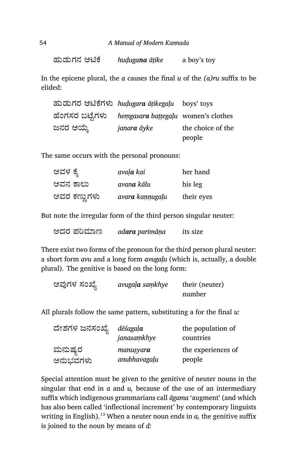ಹುಡುಗನ ಆđೆ *huḍugana āṭike* a boy's toy

In the epicene plural, the *a* causes the final *u* of the *(a)ru* suffix to be elided:

ಹುಡುಗರ ಆđೆಗಳು *huḍugara āṭikegaḷu* boys' toys ¢ೆಂಗಸರ ಬೆ®ಗಳು *heṃgasara baṭṭegaḷu* women's clothes ಜನರ ಆĦ¤ *janara āyke* the choice of the people

The same occurs with the personal pronouns:

| ಅವಳ ಕ್ಶೆ     | avaļ <b>a</b> kai  | her hand   |
|--------------|--------------------|------------|
| ಅವನ ಕಾಲು     | avan <b>a</b> kālu | his leg    |
| ಅವರ ಕಣ್ಣುಗಳು | avara kannugaļu    | their eyes |

But note the irregular form of the third person singular neuter:

| its size |
|----------|
|          |

There exist two forms of the pronoun for the third person plural neuter: a short form *avu* and a long form *avugaḷu* (which is, actually, a double plural). The genitive is based on the long form:

| ಅವುಗಳ ಸಂಖ್ಯೆ | avugala samkhye | their (neuter) |
|--------------|-----------------|----------------|
|              |                 | number         |

All plurals follow the same pattern, substituting a for the final *u:*

| ದೇಶಗಳ ಜನಸಂಖ್ಯೆ | dēśagaļ <b>a</b><br>janasamkhye | the population of<br>countries |
|----------------|---------------------------------|--------------------------------|
| ಮನುಷ್ಯರ        | manusyara                       | the experiences of             |
| ಅನುಭವಗಳು       | anubhavagalu                    | people                         |

Special attention must be given to the genitive of neuter nouns in the singular that end in *a* and *u,* because of the use of an intermediary suffix which indigenous grammarians call *āgama* 'augment' (and which has also been called 'inflectional increment' by contemporary linguists writing in English).<sup>13</sup> When a neuter noun ends in  $a$ , the genitive suffix is joined to the noun by means of *d:*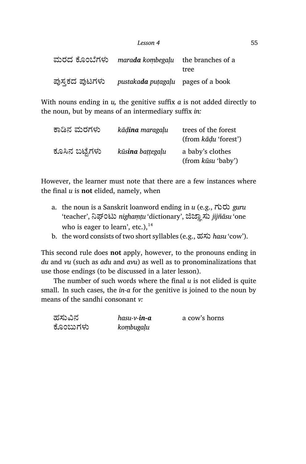| Lesson 4 | 55 |
|----------|----|
|          |    |

|                | ಮರದ ಕೊಂಬೆಗಳು marada kombegalu the branches of a |      |
|----------------|-------------------------------------------------|------|
|                |                                                 | tree |
| ಪುಸ್ತಕದ ಪುಟಗಳು | pustakada putagalu pages of a book              |      |

With nouns ending in *u,* the genitive suffix *a* is not added directly to the noun, but by means of an intermediary suffix *in:*

| ಕಾಡಿನ ಮರಗಳು    | kād <b>ina</b> maragalu | trees of the forest<br>(from kādu 'forest') |
|----------------|-------------------------|---------------------------------------------|
| ಕೂಸಿನ ಬಟ್ಟೆಗಳು | kūsina battegaļu        | a baby's clothes<br>(from kūsu 'baby')      |

However, the learner must note that there are a few instances where the final *u* is **not** elided, namely, when

- a. the noun is a Sanskrit loanword ending in *u* (e.g., ಗುರು *guru* 'teacher', ನಿಘಂಟು *nighaṃṭu* 'dictionary', ಜಿಜ್ಞಾಸು *jijñāsu* 'one who is eager to learn', etc.), $^{14}$
- b. the word consists of two short syllables (e.g., ಹಸು *hasu* 'cow').

This second rule does **not** apply, however, to the pronouns ending in *du* and *vu* (such as *adu* and *avu*) as well as to pronominalizations that use those endings (to be discussed in a later lesson).

The number of such words where the final *u* is not elided is quite small. In such cases, the *in-a* for the genitive is joined to the noun by means of the sandhi consonant *v:*

| ಹಸುವಿನ   | hasu-v- <b>in-a</b> | a cow's horns |
|----------|---------------------|---------------|
| ಕೊಂಬುಗಳು | kombugaļu           |               |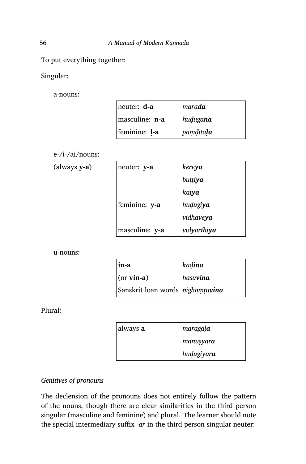To put everything together:

Singular:

a-nouns:

| $ $ neuter: $d$ -a | mara <b>da</b>   |
|--------------------|------------------|
| masculine: n-a     | hudugana         |
| feminine: 1-a      | <i>pamditala</i> |

e-/i-/ai/nouns:

(always **y-a**)

| neuter: y-a    | kere <b>ya</b>      |
|----------------|---------------------|
|                | buttiya             |
|                | kaiya               |
| feminine: y-a  | hudugiya            |
|                | vidhaveya           |
| masculine: y-a | vidyārthi <b>ya</b> |

u-nouns:

| in-a                             | kād <b>ina</b>   |
|----------------------------------|------------------|
| $(or \, vin\text{-}a)$           | hasu <b>vina</b> |
| Sanskrit loan words nighamtuvina |                  |

Plural:

| always <b>a</b> | maragala          |
|-----------------|-------------------|
|                 | manusyar <b>a</b> |
|                 | hudugiyara        |

## *Genitives of pronouns*

The declension of the pronouns does not entirely follow the pattern of the nouns, though there are clear similarities in the third person singular (masculine and feminine) and plural. The learner should note the special intermediary suffix *‑ar* in the third person singular neuter: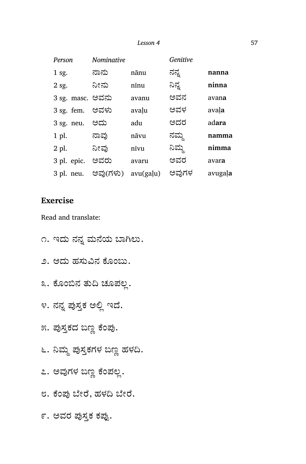| Person           | Nominative |           | Genitive |         |
|------------------|------------|-----------|----------|---------|
| $1$ sg.          | ನಾನು       | nānu      | ನನ್ನ     | nanna   |
| 2 sg.            | ನೀನು       | nīnu      | ನಿನ್ನ    | ninna   |
| 3 sg. masc. ಅವನು |            | avanu     | ಅವನ      | avana   |
| $3$ sg. fem.     | ಅವಳು       | avalu     | ಅವಳ      | avala   |
| $3$ sg. neu.     | ಅದು        | adu       | ಅದರ      | adara   |
| 1 pl.            | ನಾವು       | nāvu      | ನಮ್ಮ     | namma   |
| 2 pl.            | ನೀವು       | nīvu      | ನಿಮ್ಮ    | nimma   |
| 3 pl. epic.      | ಅವರು       | avaru     | ಅವರ      | avara   |
| 3 pl. neu.       | ಅವು(ಗಳು)   | avu(galu) | ಅವುಗಳ    | avugala |

## **Exercise**

Read and translate:

- ೧. ಇದು ನನ್ನ ಮನೆಯ ಬಾಗಿಲು.
- ೨. ಅದು ಹಸುವಿನ ಕೊಂಬು.
- ೩. ಕೊಂಬಿನ ತುದಿ ಚೂಪಲ್ಲ.
- ೪. ನನ್ನ ಪುಸ್ತಕ ಅಲ್ಲಿ ಇದೆ.
- ೫. ಪುಸ್ತಕದ ಬಣ್ಣ ಕೆಂಪು.
- ೬. ನಿಮ್ಮ ಪುಸ್ತಕಗಳ ಬಣ್ಣ ಹಳದಿ.
- ೭. ಅವುಗಳ ಬಣ್ಣ ಕೆಂಪಲ್ಲ.
- ೮. ಕೆಂಪು ಬೇರೆ, ಹಳದಿ ಬೇರೆ.

೯. ಅವರ ಪುಸ್ತಕ ಕಪ್ಪು.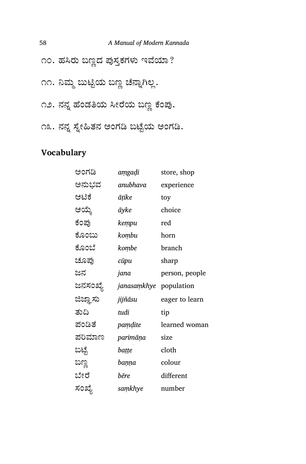# 58 *A Manual of Modern Kannada* ೧೦. ಹಸಿರು ಬಣ್ಣದ ಪುಸ್ತಕಗಳು ಇವೆಯಾ? ೧೧. ನಿಮ್ಮ ಬುಟ್ಟಿಯ ಬಣ್ಣ ಚೆನ್ನಾಗಿಲ್ಲ. ೧೨. ನನ್ನ ಹೆಂಡತಿಯ ಸೀರೆಯ ಬಣ್ಣ ಕೆಂಪು.

೧೩. ನನ್ನ ಸ್ನೇಹಿತನ ಅಂಗಡಿ ಬಟ್ಟೆಯ ಅಂಗಡಿ.

## **Vocabulary**

| ಅಂಗಡಿ                  | aṃgaḍi      | store, shop    |
|------------------------|-------------|----------------|
| ಅನುಭವ                  | anubhava    | experience     |
| ಆಟಿಕೆ                  | āṭike       | toy            |
| ಆಯ್ಕೆ                  | āyke        | choice         |
| ಕೆಂಪು                  | kempu       | red            |
| ಕೊಂಬು                  | kombu       | horn           |
| ಕೊಂಬೆ                  | kombe       | branch         |
| ಚೂಪು                   | сйри        | sharp          |
| ಜನ                     | jana        | person, people |
| ಜನಸಂಖ್ಯೆ               | janasaṃkhye | population     |
| ಜಿಜ್ಞಾ <mark>ಸು</mark> | jijñāsu     | eager to learn |
| ತುದಿ                   | tudi        | tip            |
| ಪಂಡಿತೆ                 | pamdite     | learned woman  |
| ಪರಿಮಾಣ                 | parimāņa    | size           |
| ಬಟ್ಟೆ                  | baṭṭe       | cloth          |
| ಬಣ್ಣ                   | baṇṇa       | colour         |
| ಬೇರೆ                   | bēre        | different      |
| ಸಂಖ್ಯೆ                 | saṃkhye     | number         |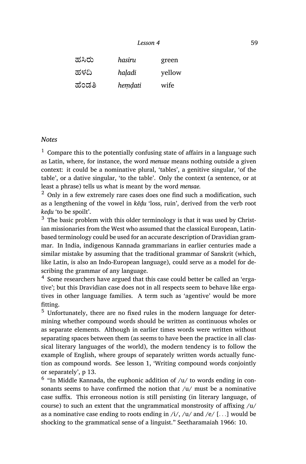| Lesson 4 | 59 |
|----------|----|
|----------|----|

| ಹಸಿರು  | hasiru  | green  |
|--------|---------|--------|
| ಹಳದಿ   | haladi  | yellow |
| ಹೆಂಡತಿ | hemdati | wife   |

#### *Notes*

 $1$  Compare this to the potentially confusing state of affairs in a language such as Latin, where, for instance, the word *mensae* means nothing outside a given context: it could be a nominative plural, 'tables', a genitive singular, 'of the table', or a dative singular, 'to the table'. Only the context (a sentence, or at least a phrase) tells us what is meant by the word *mensae.*

 $2$  Only in a few extremely rare cases does one find such a modification, such as a lengthening of the vowel in *kēḍu* 'loss, ruin', derived from the verb root *keḍu* 'to be spoilt'.

 $3\,$  The basic problem with this older terminology is that it was used by Christian missionaries from the West who assumed that the classical European, Latinbased terminology could be used for an accurate description of Dravidian grammar. In India, indigenous Kannada grammarians in earlier centuries made a similar mistake by assuming that the traditional grammar of Sanskrit (which, like Latin, is also an Indo-European language), could serve as a model for describing the grammar of any language.

<sup>4</sup> Some researchers have argued that this case could better be called an 'ergative'; but this Dravidian case does not in all respects seem to behave like ergatives in other language families. A term such as 'agentive' would be more fitting.

<sup>5</sup> Unfortunately, there are no fixed rules in the modern language for determining whether compound words should be written as continuous wholes or as separate elements. Although in earlier times words were written without separating spaces between them (as seems to have been the practice in all classical literary languages of the world), the modern tendency is to follow the example of English, where groups of separately written words actually function as compound words. See lesson 1, 'Writing compound words conjointly or separately', p 13.

 $6$  "In Middle Kannada, the euphonic addition of  $/u/$  to words ending in consonants seems to have confirmed the notion that  $/u$  must be a nominative case suffix. This erroneous notion is still persisting (in literary language, of course) to such an extent that the ungrammatical monstrosity of affixing /u/ as a nominative case ending to roots ending in /i/, /u/ and /e/ [*. . .*] would be shocking to the grammatical sense of a linguist." Seetharamaiah 1966: 10.